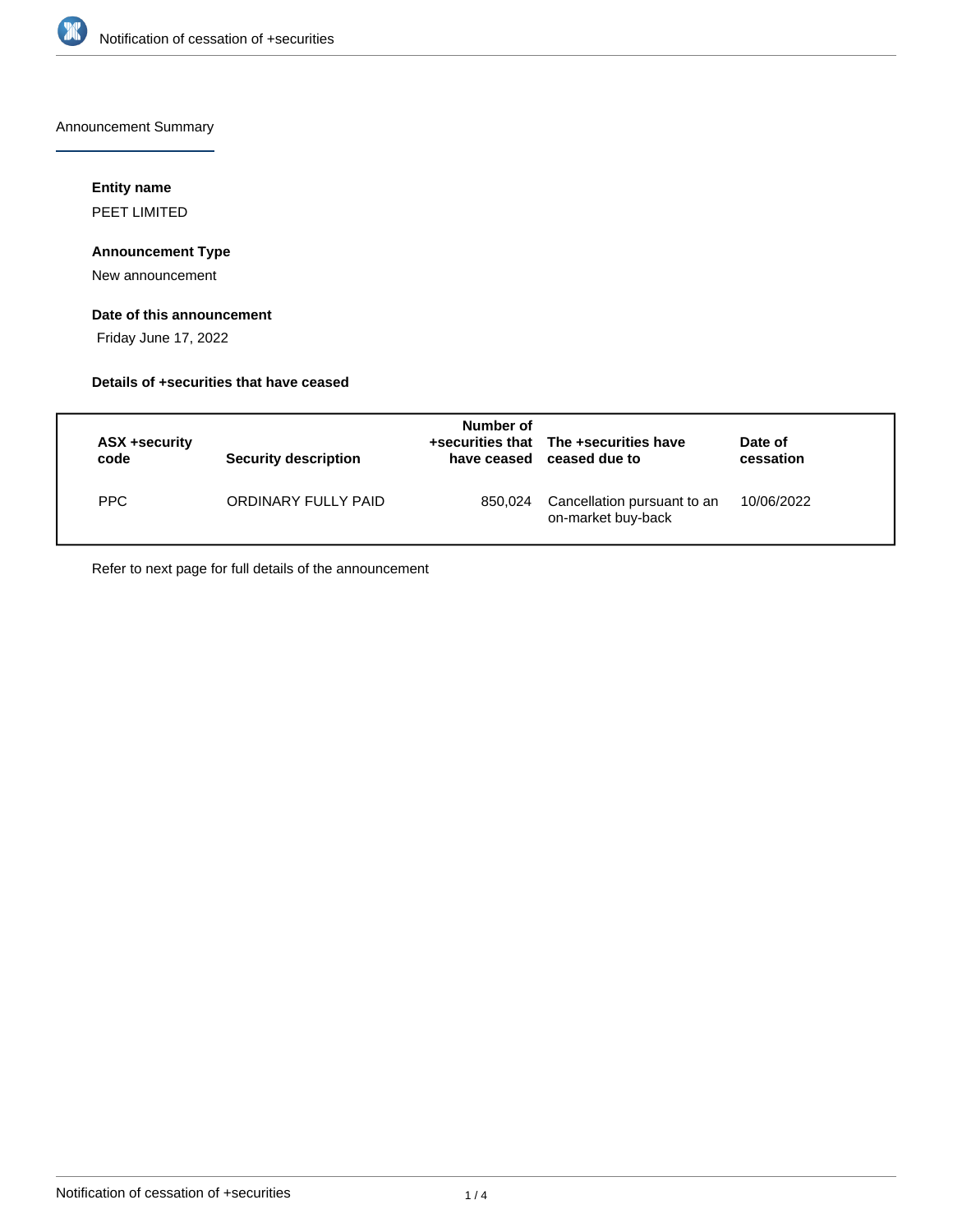

Announcement Summary

## **Entity name**

PEET LIMITED

# **Announcement Type**

New announcement

# **Date of this announcement**

Friday June 17, 2022

### **Details of +securities that have ceased**

| ASX +security<br>code | Security description | Number of<br>have ceased | +securities that The +securities have<br>ceased due to | Date of<br>cessation |
|-----------------------|----------------------|--------------------------|--------------------------------------------------------|----------------------|
| <b>PPC</b>            | ORDINARY FULLY PAID  | 850.024                  | Cancellation pursuant to an<br>on-market buy-back      | 10/06/2022           |

Refer to next page for full details of the announcement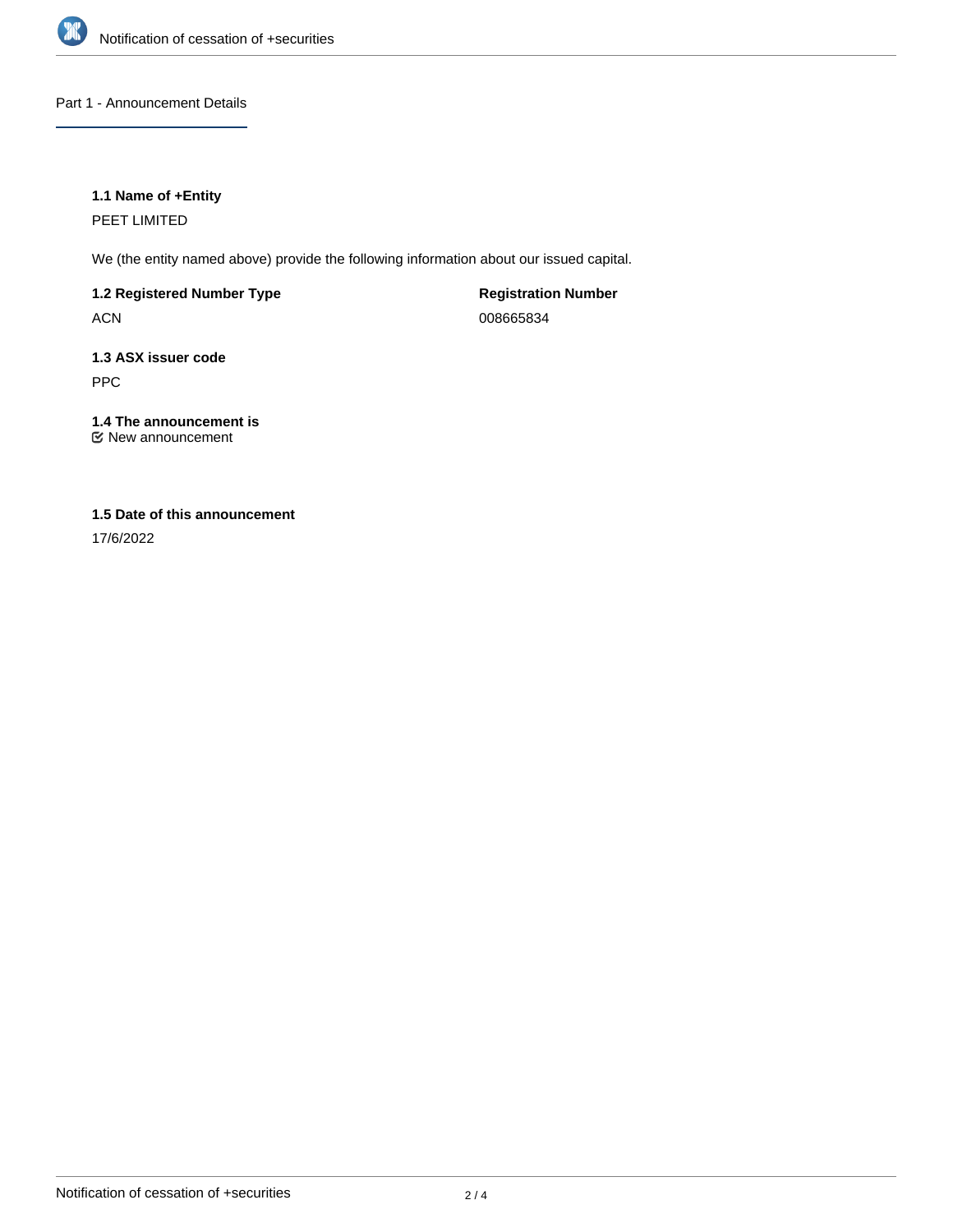

Part 1 - Announcement Details

# **1.1 Name of +Entity**

PEET LIMITED

We (the entity named above) provide the following information about our issued capital.

**1.2 Registered Number Type**

ACN

**Registration Number** 008665834

**1.3 ASX issuer code** PPC

**1.4 The announcement is** New announcement

# **1.5 Date of this announcement**

17/6/2022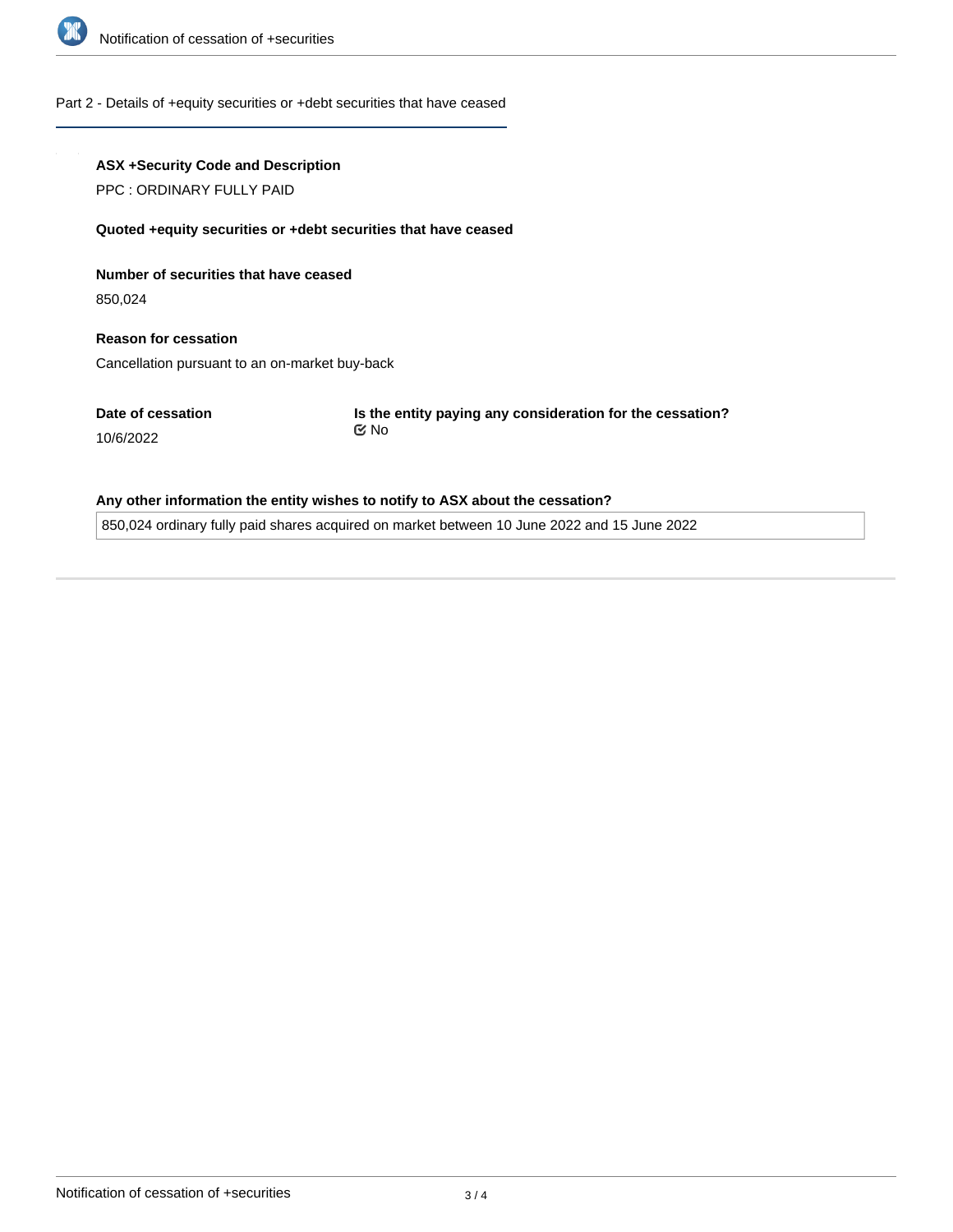

#### Part 2 - Details of +equity securities or +debt securities that have ceased

### **ASX +Security Code and Description**

PPC : ORDINARY FULLY PAID

#### **Quoted +equity securities or +debt securities that have ceased**

**Number of securities that have ceased**

850,024

**Reason for cessation** Cancellation pursuant to an on-market buy-back

**Date of cessation**

10/6/2022

**Is the entity paying any consideration for the cessation?** No

### **Any other information the entity wishes to notify to ASX about the cessation?**

850,024 ordinary fully paid shares acquired on market between 10 June 2022 and 15 June 2022